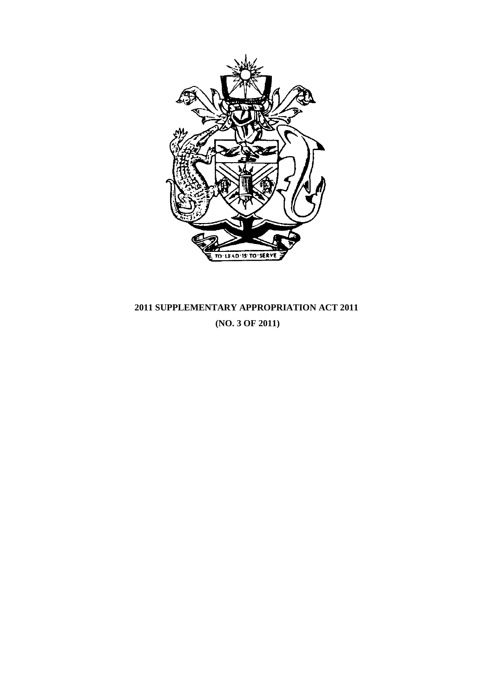

# **2011 SUPPLEMENTARY APPROPRIATION ACT 2011 (NO. 3 OF 2011)**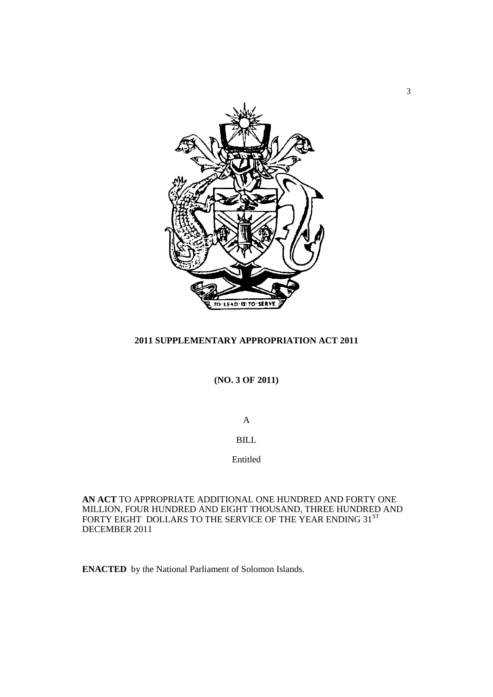

# **2011 SUPPLEMENTARY APPROPRIATION ACT 2011**

**(NO. 3 OF 2011)**

A

BILL

Entitled

**AN ACT** TO APPROPRIATE ADDITIONAL ONE HUNDRED AND FORTY ONE MILLION, FOUR HUNDRED AND EIGHT THOUSAND, THREE HUNDRED AND FORTY EIGHT DOLLARS TO THE SERVICE OF THE YEAR ENDING  $31^{\rm ST}$ DECEMBER 2011

**ENACTED** by the National Parliament of Solomon Islands.

3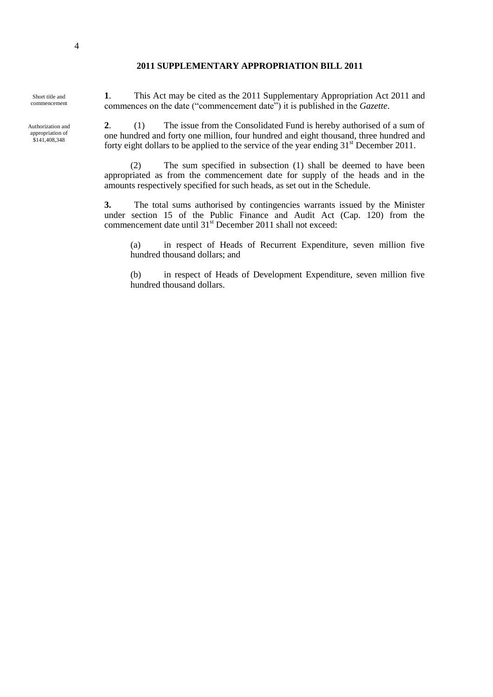#### **2011 SUPPLEMENTARY APPROPRIATION BILL 2011**

Short title and commencement

Authorization and appropriation of \$141,408,348

**1**. This Act may be cited as the 2011 Supplementary Appropriation Act 2011 and commences on the date ("commencement date") it is published in the *Gazette*.

**2**. (1) The issue from the Consolidated Fund is hereby authorised of a sum of one hundred and forty one million, four hundred and eight thousand, three hundred and forty eight dollars to be applied to the service of the year ending  $31<sup>st</sup>$  December 2011.

(2) The sum specified in subsection (1) shall be deemed to have been appropriated as from the commencement date for supply of the heads and in the amounts respectively specified for such heads, as set out in the Schedule.

**3.** The total sums authorised by contingencies warrants issued by the Minister under section 15 of the Public Finance and Audit Act (Cap. 120) from the commencement date until 31<sup>st</sup> December 2011 shall not exceed:

(a) in respect of Heads of Recurrent Expenditure, seven million five hundred thousand dollars; and

(b) in respect of Heads of Development Expenditure, seven million five hundred thousand dollars.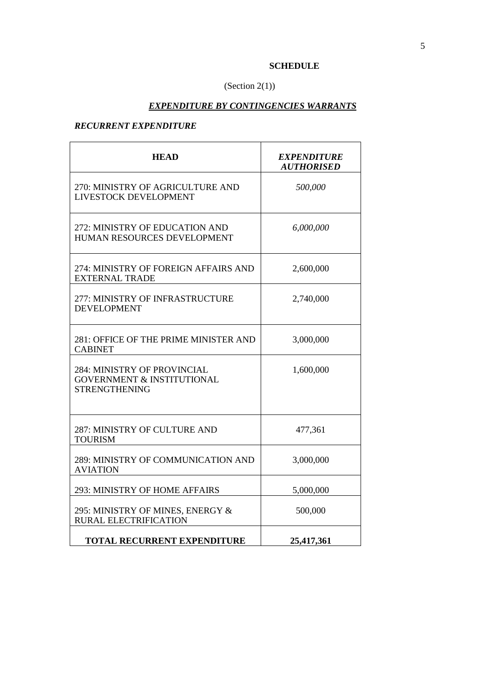# **SCHEDULE**

J.

# (Section  $2(1)$ )

# *EXPENDITURE BY CONTINGENCIES WARRANTS*

# *RECURRENT EXPENDITURE*

| <b>HEAD</b>                                                                                  | <b>EXPENDITURE</b><br><b>AUTHORISED</b> |
|----------------------------------------------------------------------------------------------|-----------------------------------------|
| 270: MINISTRY OF AGRICULTURE AND<br>LIVESTOCK DEVELOPMENT                                    | 500,000                                 |
| 272: MINISTRY OF EDUCATION AND<br>HUMAN RESOURCES DEVELOPMENT                                | 6,000,000                               |
| 274: MINISTRY OF FOREIGN AFFAIRS AND<br><b>EXTERNAL TRADE</b>                                | 2,600,000                               |
| 277: MINISTRY OF INFRASTRUCTURE<br><b>DEVELOPMENT</b>                                        | 2,740,000                               |
| 281: OFFICE OF THE PRIME MINISTER AND<br><b>CABINET</b>                                      | 3,000,000                               |
| 284: MINISTRY OF PROVINCIAL<br><b>GOVERNMENT &amp; INSTITUTIONAL</b><br><b>STRENGTHENING</b> | 1,600,000                               |
| 287: MINISTRY OF CULTURE AND<br><b>TOURISM</b>                                               | 477,361                                 |
| 289: MINISTRY OF COMMUNICATION AND<br><b>AVIATION</b>                                        | 3,000,000                               |
| 293: MINISTRY OF HOME AFFAIRS                                                                | 5,000,000                               |
| 295: MINISTRY OF MINES, ENERGY &<br><b>RURAL ELECTRIFICATION</b>                             | 500,000                                 |
| <b>TOTAL RECURRENT EXPENDITURE</b>                                                           | 25,417,361                              |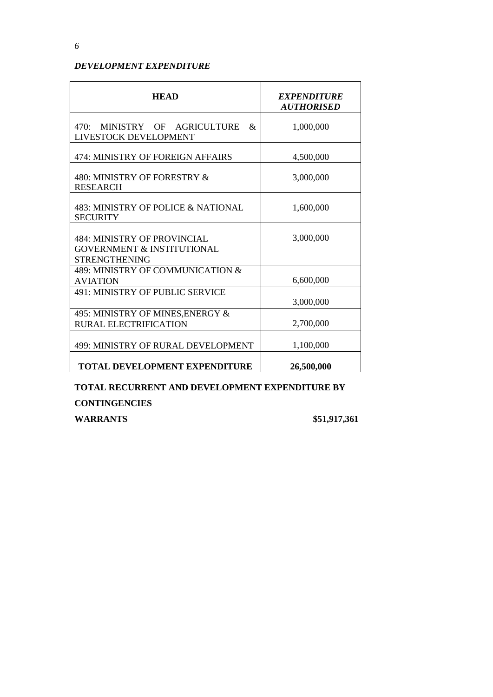# *DEVELOPMENT EXPENDITURE*

| <b>HEAD</b>                                                                                         | <b>EXPENDITURE</b><br><b>AUTHORISED</b> |
|-----------------------------------------------------------------------------------------------------|-----------------------------------------|
| MINISTRY OF AGRICULTURE<br>470:<br>&<br>LIVESTOCK DEVELOPMENT                                       | 1,000,000                               |
| 474: MINISTRY OF FOREIGN AFFAIRS                                                                    | 4,500,000                               |
| 480: MINISTRY OF FORESTRY &<br><b>RESEARCH</b>                                                      | 3,000,000                               |
| 483: MINISTRY OF POLICE & NATIONAL<br><b>SECURITY</b>                                               | 1,600,000                               |
| <b>484: MINISTRY OF PROVINCIAL</b><br><b>GOVERNMENT &amp; INSTITUTIONAL</b><br><b>STRENGTHENING</b> | 3,000,000                               |
| 489: MINISTRY OF COMMUNICATION &<br><b>AVIATION</b>                                                 | 6,600,000                               |
| 491: MINISTRY OF PUBLIC SERVICE                                                                     | 3,000,000                               |
| 495: MINISTRY OF MINES, ENERGY &<br><b>RURAL ELECTRIFICATION</b>                                    | 2,700,000                               |
| 499: MINISTRY OF RURAL DEVELOPMENT                                                                  | 1,100,000                               |
| <b>TOTAL DEVELOPMENT EXPENDITURE</b>                                                                | 26,500,000                              |

**TOTAL RECURRENT AND DEVELOPMENT EXPENDITURE BY CONTINGENCIES** 

**WARRANTS \$51,917,361**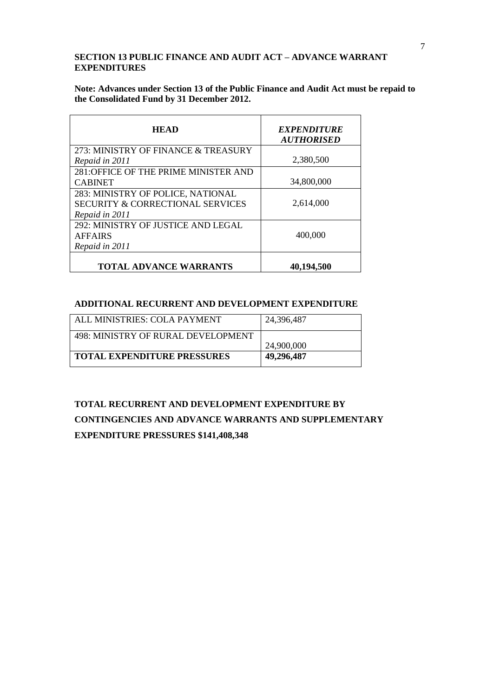# **SECTION 13 PUBLIC FINANCE AND AUDIT ACT – ADVANCE WARRANT EXPENDITURES**

**Note: Advances under Section 13 of the Public Finance and Audit Act must be repaid to the Consolidated Fund by 31 December 2012.**

| <b>HEAD</b>                                 | <b>EXPENDITURE</b><br><b>AUTHORISED</b> |
|---------------------------------------------|-----------------------------------------|
| 273: MINISTRY OF FINANCE & TREASURY         |                                         |
| Repaid in 2011                              | 2,380,500                               |
| 281:OFFICE OF THE PRIME MINISTER AND        |                                         |
| <b>CABINET</b>                              | 34,800,000                              |
| 283: MINISTRY OF POLICE, NATIONAL           |                                         |
| <b>SECURITY &amp; CORRECTIONAL SERVICES</b> | 2,614,000                               |
| Repaid in 2011                              |                                         |
| 292: MINISTRY OF JUSTICE AND LEGAL          |                                         |
| <b>AFFAIRS</b>                              | 400,000                                 |
| Repaid in 2011                              |                                         |
| <b>TOTAL ADVANCE WARRANTS</b>               | 40,194,500                              |

# **ADDITIONAL RECURRENT AND DEVELOPMENT EXPENDITURE**

| ALL MINISTRIES: COLA PAYMENT       | 24,396,487 |
|------------------------------------|------------|
| 498: MINISTRY OF RURAL DEVELOPMENT | 24,900,000 |
| <b>TOTAL EXPENDITURE PRESSURES</b> | 49,296,487 |

# **TOTAL RECURRENT AND DEVELOPMENT EXPENDITURE BY CONTINGENCIES AND ADVANCE WARRANTS AND SUPPLEMENTARY EXPENDITURE PRESSURES \$141,408,348**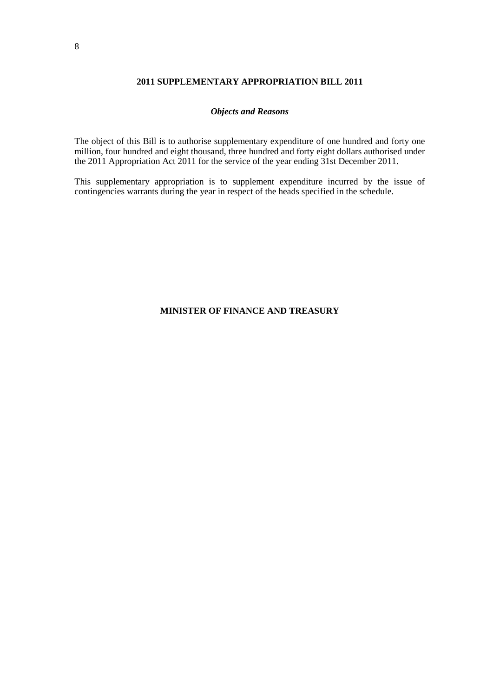#### **2011 SUPPLEMENTARY APPROPRIATION BILL 2011**

#### *Objects and Reasons*

The object of this Bill is to authorise supplementary expenditure of one hundred and forty one million, four hundred and eight thousand, three hundred and forty eight dollars authorised under the 2011 Appropriation Act 2011 for the service of the year ending 31st December 2011.

This supplementary appropriation is to supplement expenditure incurred by the issue of contingencies warrants during the year in respect of the heads specified in the schedule.

#### **MINISTER OF FINANCE AND TREASURY**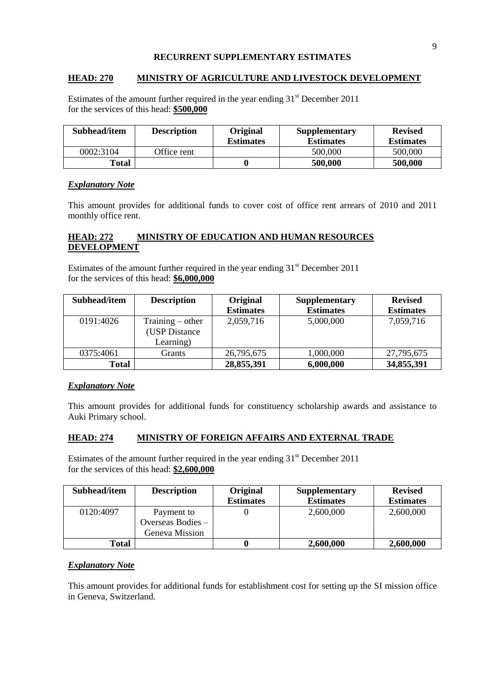#### **RECURRENT SUPPLEMENTARY ESTIMATES**

#### **HEAD: 270 MINISTRY OF AGRICULTURE AND LIVESTOCK DEVELOPMENT**

Estimates of the amount further required in the year ending  $31<sup>st</sup>$  December 2011 for the services of this head: **\$500,000**

| Subhead/item | <b>Description</b> | <b>Original</b><br><b>Estimates</b> | <b>Supplementary</b><br><b>Estimates</b> | <b>Revised</b><br><b>Estimates</b> |
|--------------|--------------------|-------------------------------------|------------------------------------------|------------------------------------|
| 0002:3104    | Office rent        |                                     | 500,000                                  | 500,000                            |
| <b>Total</b> |                    |                                     | 500,000                                  | 500,000                            |

#### *Explanatory Note*

This amount provides for additional funds to cover cost of office rent arrears of 2010 and 2011 monthly office rent.

#### **HEAD: 272 MINISTRY OF EDUCATION AND HUMAN RESOURCES DEVELOPMENT**

Estimates of the amount further required in the year ending  $31<sup>st</sup>$  December 2011 for the services of this head: **\$6,000,000**

| Subhead/item | <b>Description</b>                               | Original<br><b>Estimates</b> | <b>Supplementary</b><br><b>Estimates</b> | <b>Revised</b><br><b>Estimates</b> |
|--------------|--------------------------------------------------|------------------------------|------------------------------------------|------------------------------------|
| 0191:4026    | $Training - other$<br>(USP Distance<br>Learning) | 2,059,716                    | 5,000,000                                | 7,059,716                          |
| 0375:4061    | Grants                                           | 26,795,675                   | 1,000,000                                | 27,795,675                         |
| <b>Total</b> |                                                  | 28,855,391                   | 6,000,000                                | 34,855,391                         |

#### *Explanatory Note*

This amount provides for additional funds for constituency scholarship awards and assistance to Auki Primary school.

#### **HEAD: 274 MINISTRY OF FOREIGN AFFAIRS AND EXTERNAL TRADE**

Estimates of the amount further required in the year ending  $31<sup>st</sup>$  December 2011 for the services of this head: **\$2,600,000**

| Subhead/item | <b>Description</b>                                | <b>Original</b><br><b>Estimates</b> | <b>Supplementary</b><br><b>Estimates</b> | <b>Revised</b><br><b>Estimates</b> |
|--------------|---------------------------------------------------|-------------------------------------|------------------------------------------|------------------------------------|
| 0120:4097    | Payment to<br>Overseas Bodies –<br>Geneva Mission |                                     | 2,600,000                                | 2,600,000                          |
| Total        |                                                   |                                     | 2,600,000                                | 2,600,000                          |

#### *Explanatory Note*

This amount provides for additional funds for establishment cost for setting up the SI mission office in Geneva, Switzerland.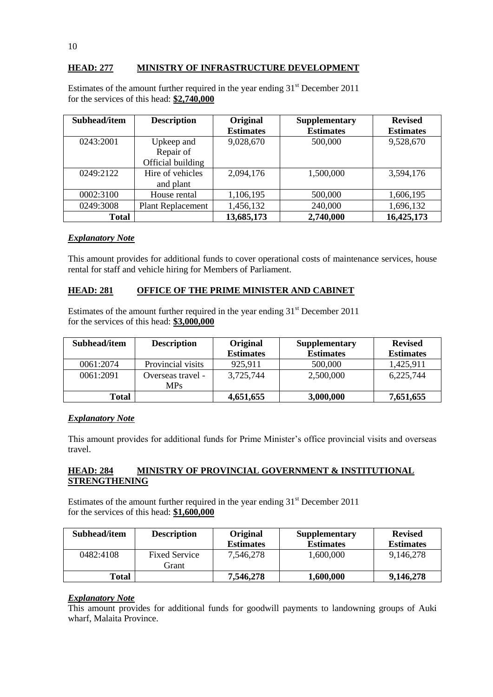# **HEAD: 277 MINISTRY OF INFRASTRUCTURE DEVELOPMENT**

| Subhead/item | <b>Description</b>       | Original         | Supplementary    | <b>Revised</b>   |
|--------------|--------------------------|------------------|------------------|------------------|
|              |                          | <b>Estimates</b> | <b>Estimates</b> | <b>Estimates</b> |
| 0243:2001    | Upkeep and               | 9,028,670        | 500,000          | 9,528,670        |
|              | Repair of                |                  |                  |                  |
|              | Official building        |                  |                  |                  |
| 0249:2122    | Hire of vehicles         | 2,094,176        | 1,500,000        | 3,594,176        |
|              | and plant                |                  |                  |                  |
| 0002:3100    | House rental             | 1,106,195        | 500,000          | 1,606,195        |
| 0249:3008    | <b>Plant Replacement</b> | 1,456,132        | 240,000          | 1,696,132        |
| <b>Total</b> |                          | 13,685,173       | 2,740,000        | 16,425,173       |

Estimates of the amount further required in the year ending  $31<sup>st</sup>$  December 2011 for the services of this head: **\$2,740,000**

# *Explanatory Note*

This amount provides for additional funds to cover operational costs of maintenance services, house rental for staff and vehicle hiring for Members of Parliament.

# **HEAD: 281 OFFICE OF THE PRIME MINISTER AND CABINET**

Estimates of the amount further required in the year ending  $31<sup>st</sup>$  December 2011 for the services of this head: **\$3,000,000**

| Subhead/item | <b>Description</b> | Original<br><b>Estimates</b> | <b>Supplementary</b><br><b>Estimates</b> | <b>Revised</b><br><b>Estimates</b> |
|--------------|--------------------|------------------------------|------------------------------------------|------------------------------------|
| 0061:2074    | Provincial visits  | 925,911                      | 500,000                                  | 1,425,911                          |
| 0061:2091    | Overseas travel -  | 3,725,744                    | 2,500,000                                | 6,225,744                          |
|              | <b>MPs</b>         |                              |                                          |                                    |
| Total        |                    | 4,651,655                    | 3,000,000                                | 7,651,655                          |

#### *Explanatory Note*

This amount provides for additional funds for Prime Minister's office provincial visits and overseas travel.

#### **HEAD: 284 MINISTRY OF PROVINCIAL GOVERNMENT & INSTITUTIONAL STRENGTHENING**

Estimates of the amount further required in the year ending  $31<sup>st</sup>$  December 2011 for the services of this head: **\$1,600,000**

| Subhead/item | <b>Description</b>            | <b>Original</b>  | <b>Supplementary</b> | <b>Revised</b>   |
|--------------|-------------------------------|------------------|----------------------|------------------|
|              |                               | <b>Estimates</b> | <b>Estimates</b>     | <b>Estimates</b> |
| 0482:4108    | <b>Fixed Service</b><br>Grant | 7,546,278        | 1,600,000            | 9,146,278        |
| Total        |                               | 7,546,278        | 1,600,000            | 9,146,278        |

#### *Explanatory Note*

This amount provides for additional funds for goodwill payments to landowning groups of Auki wharf, Malaita Province.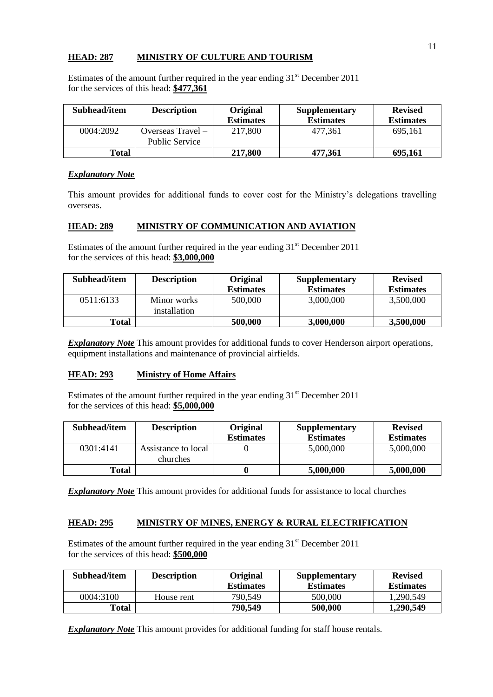### **HEAD: 287 MINISTRY OF CULTURE AND TOURISM**

Estimates of the amount further required in the year ending  $31<sup>st</sup>$  December 2011 for the services of this head: **\$477,361**

| Subhead/item | <b>Description</b>    | <b>Original</b><br><b>Estimates</b> | Supplementary<br><b>Estimates</b> | <b>Revised</b><br><b>Estimates</b> |
|--------------|-----------------------|-------------------------------------|-----------------------------------|------------------------------------|
| 0004:2092    | Overseas Travel –     | 217,800                             | 477.361                           | 695,161                            |
|              | <b>Public Service</b> |                                     |                                   |                                    |
| Total        |                       | 217,800                             | 477,361                           | 695,161                            |

# *Explanatory Note*

This amount provides for additional funds to cover cost for the Ministry's delegations travelling overseas.

# **HEAD: 289 MINISTRY OF COMMUNICATION AND AVIATION**

Estimates of the amount further required in the year ending  $31<sup>st</sup>$  December 2011 for the services of this head: **\$3,000,000**

| Subhead/item | <b>Description</b> | Original         | <b>Supplementary</b> | <b>Revised</b>   |
|--------------|--------------------|------------------|----------------------|------------------|
|              |                    | <b>Estimates</b> | <b>Estimates</b>     | <b>Estimates</b> |
| 0511:6133    | Minor works        | 500,000          | 3,000,000            | 3,500,000        |
|              | installation       |                  |                      |                  |
| <b>Total</b> |                    | 500,000          | 3,000,000            | 3,500,000        |

**Explanatory Note** This amount provides for additional funds to cover Henderson airport operations, equipment installations and maintenance of provincial airfields.

#### **HEAD: 293 Ministry of Home Affairs**

Estimates of the amount further required in the year ending  $31<sup>st</sup>$  December 2011 for the services of this head: **\$5,000,000**

| Subhead/item | <b>Description</b>  | <b>Original</b>  | <b>Supplementary</b> | <b>Revised</b>   |
|--------------|---------------------|------------------|----------------------|------------------|
|              |                     | <b>Estimates</b> | <b>Estimates</b>     | <b>Estimates</b> |
| 0301:4141    | Assistance to local |                  | 5,000,000            | 5,000,000        |
|              | churches            |                  |                      |                  |
| Total        |                     |                  | 5,000,000            | 5,000,000        |

*Explanatory Note* This amount provides for additional funds for assistance to local churches

# **HEAD: 295 MINISTRY OF MINES, ENERGY & RURAL ELECTRIFICATION**

Estimates of the amount further required in the year ending  $31<sup>st</sup>$  December 2011 for the services of this head: **\$500,000**

| Subhead/item | <b>Description</b> | <b>Original</b><br><b>Estimates</b> | <b>Supplementary</b><br><b>Estimates</b> | <b>Revised</b><br><b>Estimates</b> |
|--------------|--------------------|-------------------------------------|------------------------------------------|------------------------------------|
| 0004:3100    | House rent         | 790,549                             | 500,000                                  | 1,290,549                          |
| Total        |                    | 790,549                             | 500,000                                  | 1,290,549                          |

*Explanatory Note* This amount provides for additional funding for staff house rentals.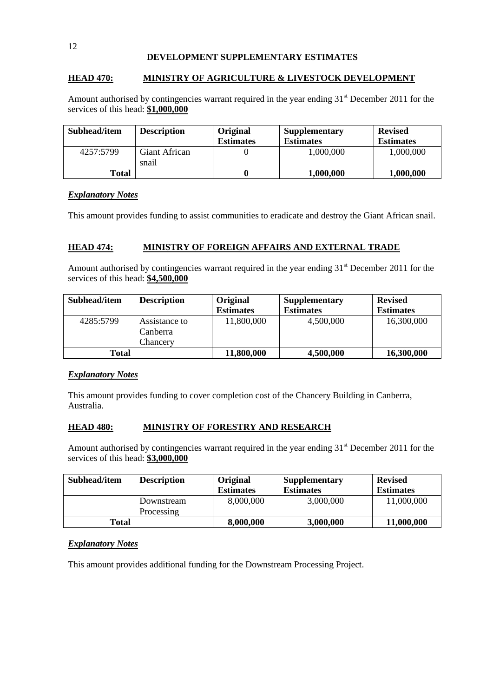#### **DEVELOPMENT SUPPLEMENTARY ESTIMATES**

# **HEAD 470: MINISTRY OF AGRICULTURE & LIVESTOCK DEVELOPMENT**

Amount authorised by contingencies warrant required in the year ending 31<sup>st</sup> December 2011 for the services of this head: **\$1,000,000**

| Subhead/item | <b>Description</b> | Original<br><b>Estimates</b> | <b>Supplementary</b><br><b>Estimates</b> | <b>Revised</b><br><b>Estimates</b> |
|--------------|--------------------|------------------------------|------------------------------------------|------------------------------------|
| 4257:5799    | Giant African      |                              | 1,000,000                                | 1,000,000                          |
|              | snail              |                              |                                          |                                    |
| Total        |                    |                              | 1,000,000                                | 1,000,000                          |

#### *Explanatory Notes*

This amount provides funding to assist communities to eradicate and destroy the Giant African snail.

#### **HEAD 474: MINISTRY OF FOREIGN AFFAIRS AND EXTERNAL TRADE**

Amount authorised by contingencies warrant required in the year ending 31<sup>st</sup> December 2011 for the services of this head: **\$4,500,000**

| Subhead/item | <b>Description</b>                    | Original<br><b>Estimates</b> | <b>Supplementary</b><br><b>Estimates</b> | <b>Revised</b><br><b>Estimates</b> |
|--------------|---------------------------------------|------------------------------|------------------------------------------|------------------------------------|
| 4285:5799    | Assistance to<br>Canberra<br>Chancery | 11,800,000                   | 4,500,000                                | 16,300,000                         |
| Total        |                                       | 11,800,000                   | 4,500,000                                | 16,300,000                         |

#### *Explanatory Notes*

This amount provides funding to cover completion cost of the Chancery Building in Canberra, Australia.

#### **HEAD 480: MINISTRY OF FORESTRY AND RESEARCH**

Amount authorised by contingencies warrant required in the year ending  $31<sup>st</sup>$  December 2011 for the services of this head: **\$3,000,000**

| Subhead/item | <b>Description</b>       | Original<br><b>Estimates</b> | Supplementary<br><b>Estimates</b> | <b>Revised</b><br><b>Estimates</b> |
|--------------|--------------------------|------------------------------|-----------------------------------|------------------------------------|
|              | Downstream<br>Processing | 8,000,000                    | 3,000,000                         | 11,000,000                         |
| Total        |                          | 8,000,000                    | 3,000,000                         | 11,000,000                         |

#### *Explanatory Notes*

This amount provides additional funding for the Downstream Processing Project.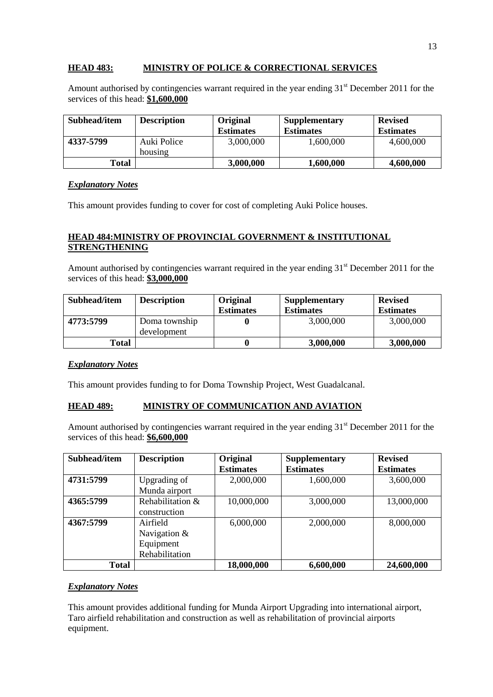# **HEAD 483: MINISTRY OF POLICE & CORRECTIONAL SERVICES**

Amount authorised by contingencies warrant required in the year ending  $31<sup>st</sup>$  December 2011 for the services of this head: **\$1,600,000**

| Subhead/item | <b>Description</b>     | <b>Original</b><br><b>Estimates</b> | <b>Supplementary</b><br><b>Estimates</b> | <b>Revised</b><br><b>Estimates</b> |
|--------------|------------------------|-------------------------------------|------------------------------------------|------------------------------------|
| 4337-5799    | Auki Police<br>housing | 3,000,000                           | 1,600,000                                | 4,600,000                          |
| Total        |                        | 3,000,000                           | 1,600,000                                | 4,600,000                          |

#### *Explanatory Notes*

This amount provides funding to cover for cost of completing Auki Police houses.

# **HEAD 484:MINISTRY OF PROVINCIAL GOVERNMENT & INSTITUTIONAL STRENGTHENING**

Amount authorised by contingencies warrant required in the year ending 31<sup>st</sup> December 2011 for the services of this head: **\$3,000,000**

| Subhead/item | <b>Description</b>           | <b>Original</b><br><b>Estimates</b> | <b>Supplementary</b><br><b>Estimates</b> | <b>Revised</b><br><b>Estimates</b> |
|--------------|------------------------------|-------------------------------------|------------------------------------------|------------------------------------|
| 4773:5799    | Doma township<br>development |                                     | 3,000,000                                | 3,000,000                          |
| Total        |                              | 0                                   | 3,000,000                                | 3,000,000                          |

#### *Explanatory Notes*

This amount provides funding to for Doma Township Project, West Guadalcanal.

# **HEAD 489: MINISTRY OF COMMUNICATION AND AVIATION**

Amount authorised by contingencies warrant required in the year ending 31<sup>st</sup> December 2011 for the services of this head: **\$6,600,000**

| Subhead/item | <b>Description</b> | Original         | <b>Supplementary</b> | <b>Revised</b>   |
|--------------|--------------------|------------------|----------------------|------------------|
|              |                    | <b>Estimates</b> | <b>Estimates</b>     | <b>Estimates</b> |
| 4731:5799    | Upgrading of       | 2,000,000        | 1,600,000            | 3,600,000        |
|              | Munda airport      |                  |                      |                  |
| 4365:5799    | Rehabilitation &   | 10,000,000       | 3,000,000            | 13,000,000       |
|              | construction       |                  |                      |                  |
| 4367:5799    | Airfield           | 6,000,000        | 2,000,000            | 8,000,000        |
|              | Navigation &       |                  |                      |                  |
|              | Equipment          |                  |                      |                  |
|              | Rehabilitation     |                  |                      |                  |
| <b>Total</b> |                    | 18,000,000       | 6,600,000            | 24,600,000       |

#### *Explanatory Notes*

This amount provides additional funding for Munda Airport Upgrading into international airport, Taro airfield rehabilitation and construction as well as rehabilitation of provincial airports equipment.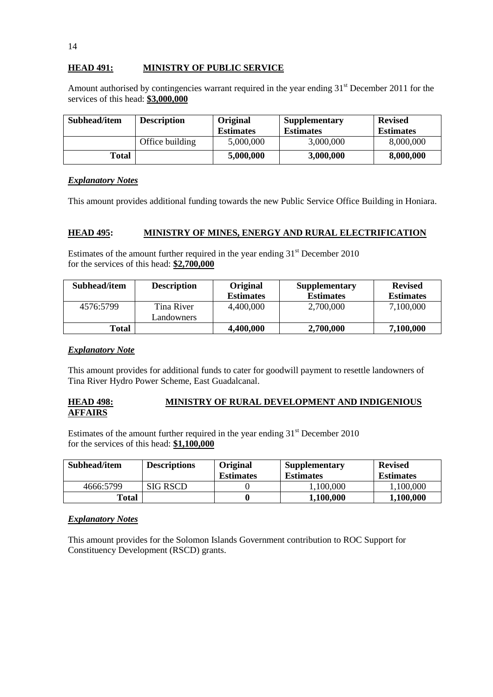# **HEAD 491: MINISTRY OF PUBLIC SERVICE**

Amount authorised by contingencies warrant required in the year ending  $31<sup>st</sup>$  December 2011 for the services of this head: **\$3,000,000**

| Subhead/item | <b>Description</b> | <b>Original</b><br><b>Estimates</b> | <b>Supplementary</b><br><b>Estimates</b> | <b>Revised</b><br><b>Estimates</b> |
|--------------|--------------------|-------------------------------------|------------------------------------------|------------------------------------|
|              | Office building    | 5,000,000                           | 3,000,000                                | 8,000,000                          |
| Total        |                    | 5,000,000                           | 3,000,000                                | 8,000,000                          |

#### *Explanatory Notes*

This amount provides additional funding towards the new Public Service Office Building in Honiara.

# **HEAD 495: MINISTRY OF MINES, ENERGY AND RURAL ELECTRIFICATION**

Estimates of the amount further required in the year ending  $31<sup>st</sup>$  December 2010 for the services of this head: **\$2,700,000**

| Subhead/item | <b>Description</b>       | <b>Original</b><br><b>Estimates</b> | <b>Supplementary</b><br><b>Estimates</b> | <b>Revised</b><br><b>Estimates</b> |
|--------------|--------------------------|-------------------------------------|------------------------------------------|------------------------------------|
| 4576:5799    | Tina River<br>Landowners | 4,400,000                           | 2,700,000                                | 7,100,000                          |
| Total        |                          | 4,400,000                           | 2,700,000                                | 7,100,000                          |

#### *Explanatory Note*

This amount provides for additional funds to cater for goodwill payment to resettle landowners of Tina River Hydro Power Scheme, East Guadalcanal.

# **HEAD 498: MINISTRY OF RURAL DEVELOPMENT AND INDIGENIOUS AFFAIRS**

Estimates of the amount further required in the year ending  $31<sup>st</sup>$  December 2010 for the services of this head: **\$1,100,000**

| Subhead/item | <b>Descriptions</b> | Original<br><b>Estimates</b> | <b>Supplementary</b><br><b>Estimates</b> | <b>Revised</b><br><b>Estimates</b> |
|--------------|---------------------|------------------------------|------------------------------------------|------------------------------------|
| 4666:5799    | <b>SIG RSCD</b>     |                              | 1,100,000                                | .100,000                           |
| Total        |                     |                              | 1,100,000                                | 1,100,000                          |

#### *Explanatory Notes*

This amount provides for the Solomon Islands Government contribution to ROC Support for Constituency Development (RSCD) grants.

14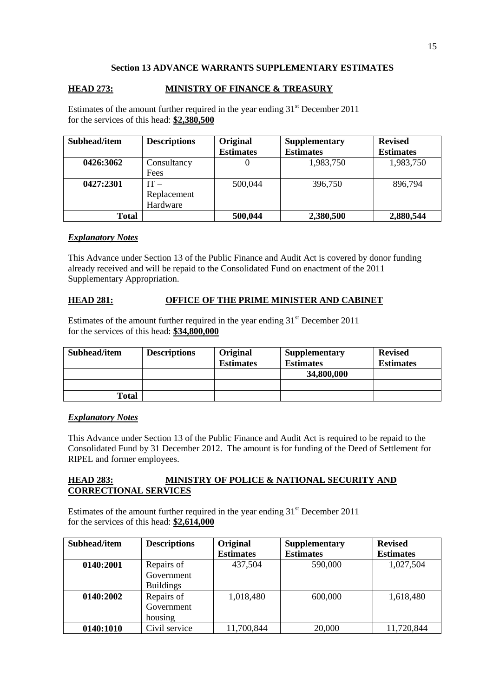# **Section 13 ADVANCE WARRANTS SUPPLEMENTARY ESTIMATES**

# **HEAD 273: MINISTRY OF FINANCE & TREASURY**

Estimates of the amount further required in the year ending  $31<sup>st</sup>$  December 2011 for the services of this head: **\$2,380,500**

| Subhead/item | <b>Descriptions</b> | Original         | <b>Supplementary</b> | <b>Revised</b>   |
|--------------|---------------------|------------------|----------------------|------------------|
|              |                     | <b>Estimates</b> | <b>Estimates</b>     | <b>Estimates</b> |
| 0426:3062    | Consultancy         |                  | 1,983,750            | 1,983,750        |
|              | Fees                |                  |                      |                  |
| 0427:2301    | IT $-$              | 500,044          | 396,750              | 896,794          |
|              | Replacement         |                  |                      |                  |
|              | Hardware            |                  |                      |                  |
| <b>Total</b> |                     | 500,044          | 2,380,500            | 2,880,544        |

#### *Explanatory Notes*

This Advance under Section 13 of the Public Finance and Audit Act is covered by donor funding already received and will be repaid to the Consolidated Fund on enactment of the 2011 Supplementary Appropriation.

# **HEAD 281: OFFICE OF THE PRIME MINISTER AND CABINET**

Estimates of the amount further required in the year ending  $31<sup>st</sup>$  December 2011 for the services of this head: **\$34,800,000**

| Subhead/item | <b>Descriptions</b> | <b>Original</b><br><b>Estimates</b> | <b>Supplementary</b><br><b>Estimates</b> | <b>Revised</b><br><b>Estimates</b> |
|--------------|---------------------|-------------------------------------|------------------------------------------|------------------------------------|
|              |                     |                                     | 34,800,000                               |                                    |
|              |                     |                                     |                                          |                                    |
| Total        |                     |                                     |                                          |                                    |

#### *Explanatory Notes*

This Advance under Section 13 of the Public Finance and Audit Act is required to be repaid to the Consolidated Fund by 31 December 2012. The amount is for funding of the Deed of Settlement for RIPEL and former employees.

### **HEAD 283: MINISTRY OF POLICE & NATIONAL SECURITY AND CORRECTIONAL SERVICES**

Estimates of the amount further required in the year ending  $31<sup>st</sup>$  December 2011 for the services of this head: **\$2,614,000**

| Subhead/item | <b>Descriptions</b> | Original         | <b>Supplementary</b> | <b>Revised</b>   |
|--------------|---------------------|------------------|----------------------|------------------|
|              |                     | <b>Estimates</b> | <b>Estimates</b>     | <b>Estimates</b> |
| 0140:2001    | Repairs of          | 437,504          | 590,000              | 1,027,504        |
|              | Government          |                  |                      |                  |
|              | <b>Buildings</b>    |                  |                      |                  |
| 0140:2002    | Repairs of          | 1,018,480        | 600,000              | 1,618,480        |
|              | Government          |                  |                      |                  |
|              | housing             |                  |                      |                  |
| 0140:1010    | Civil service       | 11,700,844       | 20,000               | 11,720,844       |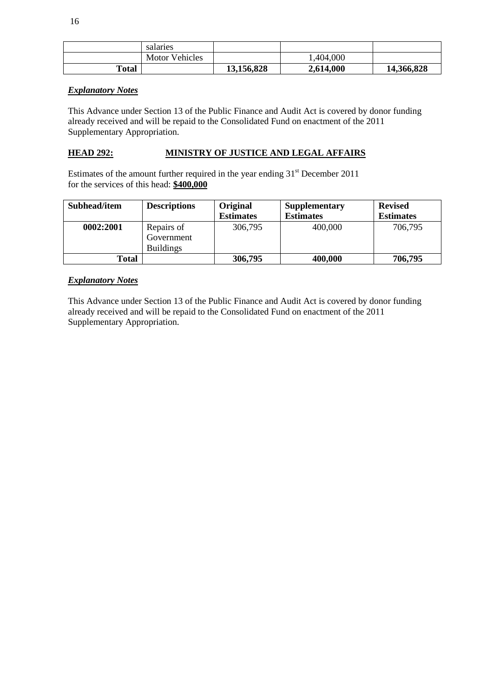|       | salaries              |            |           |            |
|-------|-----------------------|------------|-----------|------------|
|       | <b>Motor Vehicles</b> |            | 1,404,000 |            |
| Total |                       | 13,156,828 | 2,614,000 | 14,366,828 |

# *Explanatory Notes*

This Advance under Section 13 of the Public Finance and Audit Act is covered by donor funding already received and will be repaid to the Consolidated Fund on enactment of the 2011 Supplementary Appropriation.

# **HEAD 292: MINISTRY OF JUSTICE AND LEGAL AFFAIRS**

Estimates of the amount further required in the year ending  $31<sup>st</sup>$  December 2011 for the services of this head: **\$400,000**

| Subhead/item | <b>Descriptions</b>                          | Original<br><b>Estimates</b> | <b>Supplementary</b><br><b>Estimates</b> | <b>Revised</b><br><b>Estimates</b> |
|--------------|----------------------------------------------|------------------------------|------------------------------------------|------------------------------------|
| 0002:2001    | Repairs of<br>Government<br><b>Buildings</b> | 306,795                      | 400,000                                  | 706,795                            |
| Total        |                                              | 306,795                      | 400,000                                  | 706,795                            |

# *Explanatory Notes*

This Advance under Section 13 of the Public Finance and Audit Act is covered by donor funding already received and will be repaid to the Consolidated Fund on enactment of the 2011 Supplementary Appropriation.